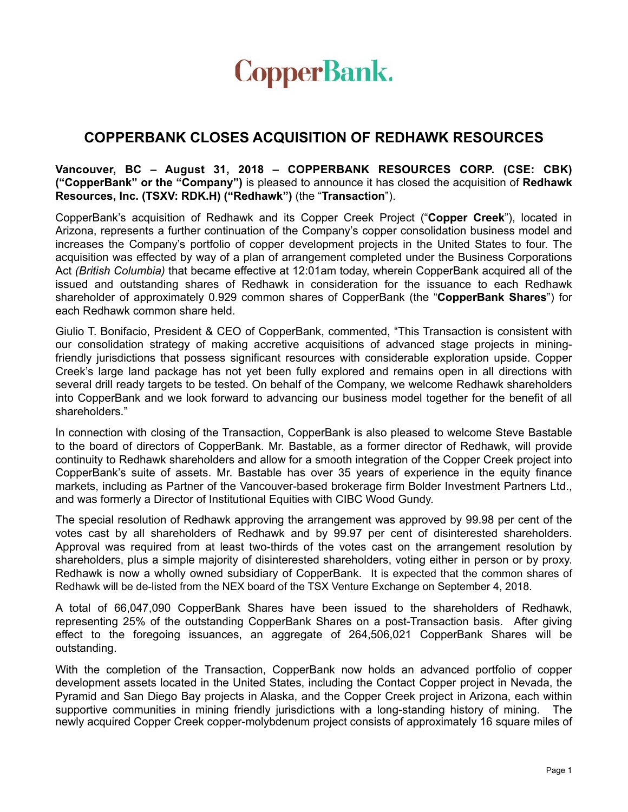

## **COPPERBANK CLOSES ACQUISITION OF REDHAWK RESOURCES**

**Vancouver, BC – August 31, 2018 – COPPERBANK RESOURCES CORP. (CSE: CBK) ("CopperBank" or the "Company")** is pleased to announce it has closed the acquisition of **Redhawk Resources, Inc. (TSXV: RDK.H) ("Redhawk")** (the "**Transaction**").

CopperBank's acquisition of Redhawk and its Copper Creek Project ("**Copper Creek**"), located in Arizona, represents a further continuation of the Company's copper consolidation business model and increases the Company's portfolio of copper development projects in the United States to four. The acquisition was effected by way of a plan of arrangement completed under the Business Corporations Act *(British Columbia)* that became effective at 12:01am today, wherein CopperBank acquired all of the issued and outstanding shares of Redhawk in consideration for the issuance to each Redhawk shareholder of approximately 0.929 common shares of CopperBank (the "**CopperBank Shares**") for each Redhawk common share held.

Giulio T. Bonifacio, President & CEO of CopperBank, commented, "This Transaction is consistent with our consolidation strategy of making accretive acquisitions of advanced stage projects in miningfriendly jurisdictions that possess significant resources with considerable exploration upside. Copper Creek's large land package has not yet been fully explored and remains open in all directions with several drill ready targets to be tested. On behalf of the Company, we welcome Redhawk shareholders into CopperBank and we look forward to advancing our business model together for the benefit of all shareholders."

In connection with closing of the Transaction, CopperBank is also pleased to welcome Steve Bastable to the board of directors of CopperBank. Mr. Bastable, as a former director of Redhawk, will provide continuity to Redhawk shareholders and allow for a smooth integration of the Copper Creek project into CopperBank's suite of assets. Mr. Bastable has over 35 years of experience in the equity finance markets, including as Partner of the Vancouver-based brokerage firm Bolder Investment Partners Ltd., and was formerly a Director of Institutional Equities with CIBC Wood Gundy.

The special resolution of Redhawk approving the arrangement was approved by 99.98 per cent of the votes cast by all shareholders of Redhawk and by 99.97 per cent of disinterested shareholders. Approval was required from at least two-thirds of the votes cast on the arrangement resolution by shareholders, plus a simple majority of disinterested shareholders, voting either in person or by proxy. Redhawk is now a wholly owned subsidiary of CopperBank. It is expected that the common shares of Redhawk will be de-listed from the NEX board of the TSX Venture Exchange on September 4, 2018.

A total of 66,047,090 CopperBank Shares have been issued to the shareholders of Redhawk, representing 25% of the outstanding CopperBank Shares on a post-Transaction basis. After giving effect to the foregoing issuances, an aggregate of 264,506,021 CopperBank Shares will be outstanding.

With the completion of the Transaction, CopperBank now holds an advanced portfolio of copper development assets located in the United States, including the Contact Copper project in Nevada, the Pyramid and San Diego Bay projects in Alaska, and the Copper Creek project in Arizona, each within supportive communities in mining friendly jurisdictions with a long-standing history of mining. The newly acquired Copper Creek copper-molybdenum project consists of approximately 16 square miles of